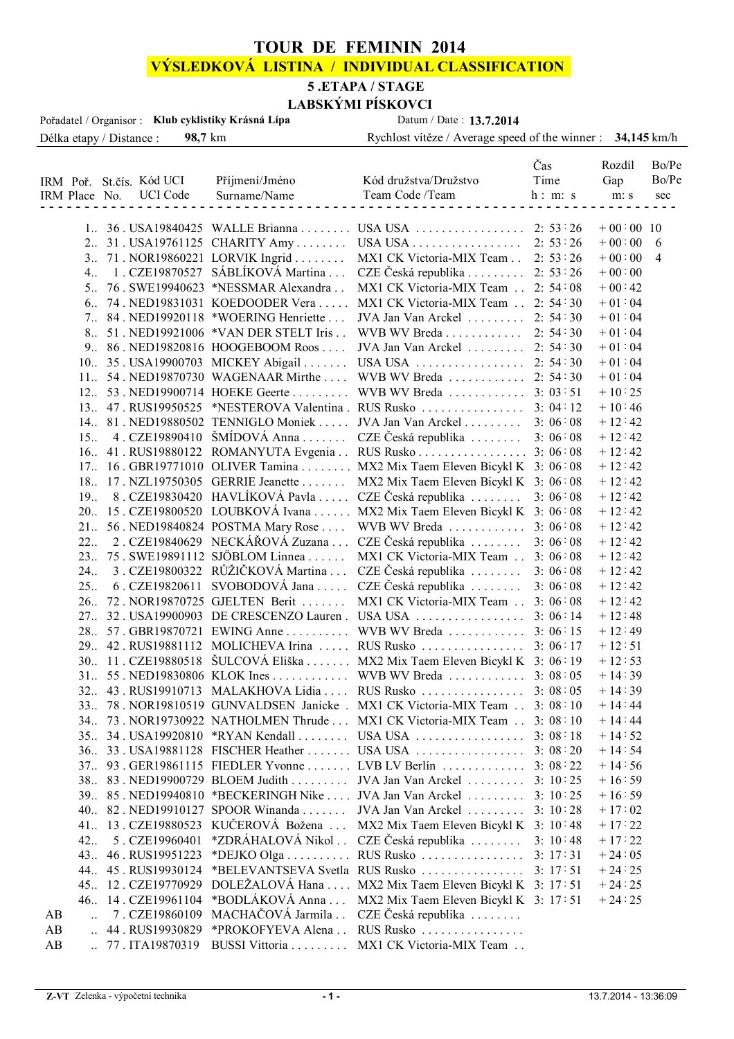## **TOUR DE FEMININ 2014**

# **VÝSLEDKOVÁ LISTINA / INDIVIDUAL CLASSIFICATION**

# **5 .ETAPA / STAGE**

Délka etapy / Distance : **98,7** km Rychlost vítěze / Average speed of the winner : **34,145** km/h **LABSKÝMI PÍSKOVCI**<br>a Datum / Date : **13.7.2014** Pořadatel / Organisor : **Klub cyklistiky Krásná Lípa** 

|    |                      |                                   |                                        |                                                                           | Čas                | Rozdíl               | Bo/Pe          |
|----|----------------------|-----------------------------------|----------------------------------------|---------------------------------------------------------------------------|--------------------|----------------------|----------------|
|    |                      | IRM Poř. St.čís. Kód UCI          | Příjmení/Jméno                         | Kód družstva/Družstvo                                                     | Time               | Gap                  | Bo/Pe          |
|    | IRM Place No.        | <b>UCI</b> Code                   | Surname/Name                           | Team Code /Team                                                           | h: m: s            | m: s                 | sec            |
|    |                      |                                   |                                        |                                                                           |                    |                      |                |
|    |                      |                                   |                                        | 1. 36. USA19840425 WALLE Brianna  USA USA  2: 53:26                       |                    | $+00:00$ 10          |                |
|    |                      |                                   |                                        | 2. 31. USA19761125 CHARITY Amy  USA USA                                   | 2: 53:26           | $+00:00$             | 6              |
|    | $3_{\ldots}$         |                                   | 71. NOR19860221 LORVIK Ingrid          | MX1 CK Victoria-MIX Team                                                  | 2: 53:26           | $+00:00$             | $\overline{4}$ |
|    | $4_{\dots}$          |                                   | 1. CZE19870527 SÁBLÍKOVÁ Martina       | CZE Česká republika                                                       | 2: 53:26           | $+00:00$             |                |
|    | 5 <sub>1</sub>       |                                   | 76. SWE19940623 *NESSMAR Alexandra     | MX1 CK Victoria-MIX Team                                                  | 2:54:08            | $+00:42$             |                |
|    |                      |                                   | 6. 74. NED19831031 KOEDOODER Vera      | MX1 CK Victoria-MIX Team                                                  | 2: 54:30           | $+01:04$             |                |
|    |                      |                                   | 7. 84. NED19920118 *WOERING Henriette  | JVA Jan Van Arckel                                                        | 2: 54:30           | $+01:04$             |                |
|    |                      |                                   | 8. 51. NED19921006 *VAN DER STELT Iris | WVB WV Breda                                                              | 2: 54:30           | $+01:04$             |                |
|    |                      |                                   | 9. 86. NED19820816 HOOGEBOOM Roos      | JVA Jan Van Arckel                                                        | 2: 54:30           | $+01:04$             |                |
|    |                      |                                   | 10. 35. USA19900703 MICKEY Abigail     | USA USA                                                                   | 2: 54:30           | $+01:04$             |                |
|    |                      |                                   | 11. 54. NED19870730 WAGENAAR Mirthe    | WVB WV Breda                                                              | 2: 54:30           | $+01:04$             |                |
|    |                      |                                   |                                        | 12. 53. NED19900714 HOEKE Geerte WVB WV Breda                             | 3:03:51            | $+10:25$             |                |
|    |                      |                                   |                                        | 13. 47. RUS19950525 *NESTEROVA Valentina. RUS Rusko                       | 3:04:12            | $+10:46$             |                |
|    |                      |                                   |                                        | 14. 81. NED19880502 TENNIGLO Moniek  JVA Jan Van Arckel                   | 3:06:08            | $+12:42$             |                |
|    | 15 <sub>1</sub>      |                                   |                                        | 4. CZE19890410 ŠMÍDOVÁ Anna  CZE Česká republika                          | 3:06:08            | $+12:42$             |                |
|    |                      |                                   |                                        |                                                                           | 3:06:08            | $+12:42$             |                |
|    |                      |                                   |                                        | 17. 16. GBR19771010 OLIVER Tamina MX2 Mix Taem Eleven Bicykl K 3: 06:08   |                    | $+12:42$             |                |
|    |                      |                                   |                                        | 18. 17. NZL19750305 GERRIE Jeanette  MX2 Mix Taem Eleven Bicykl K 3:06:08 |                    | $+12:42$             |                |
|    | 19 <sub>1</sub>      |                                   |                                        | 8. CZE19830420 HAVLÍKOVÁ Pavla  CZE Česká republika                       | 3:06:08            | $+12:42$             |                |
|    |                      |                                   |                                        | 20. 15. CZE19800520 LOUBKOVÁ Ivana  MX2 Mix Taem Eleven Bicykl K 3:06:08  |                    | $+12:42$             |                |
|    | 21                   |                                   |                                        | 56. NED19840824 POSTMA Mary Rose  WVB WV Breda                            | 3:06:08            | $+12:42$             |                |
|    | 22                   |                                   |                                        | 2. CZE19840629 NECKÁŘOVÁ Zuzana  CZE Česká republika                      | 3:06:08            | $+12:42$             |                |
|    |                      |                                   | 23. 75. SWE19891112 SJÖBLOM Linnea     | MX1 CK Victoria-MIX Team                                                  | 3:06:08            | $+12:42$             |                |
|    | 24.                  |                                   |                                        | 3. CZE19800322 RŮŽIČKOVÁ Martina  CZE Česká republika                     | 3:06:08            | $+12:42$             |                |
|    | 25.                  |                                   |                                        | 6. CZE19820611 SVOBODOVÁ Jana  CZE Česká republika                        | 3:06:08            | $+12:42$             |                |
|    |                      |                                   | 26. 72. NOR19870725 GJELTEN Berit      | MX1 CK Victoria-MIX Team                                                  | 3:06:08            | $+12:42$             |                |
|    |                      |                                   |                                        | 27. 32. USA19900903 DE CRESCENZO Lauren. USA USA                          | 3:06:14            | $+12:48$             |                |
|    |                      |                                   |                                        | 28. 57. GBR19870721 EWING Anne  WVB WV Breda  3:06:15                     |                    | $+12:49$             |                |
|    |                      |                                   |                                        | 29. 42. RUS19881112 MOLICHEVA Irina  RUS Rusko                            | 3:06:17            | $+12:51$             |                |
|    |                      |                                   |                                        | 30. 11. CZE19880518 ŠULCOVÁ Eliška  MX2 Mix Taem Eleven Bicykl K 3:06:19  |                    | $+12:53$             |                |
|    |                      |                                   |                                        | 31 55 NED19830806 KLOK Ines WVB WV Breda 3: 08:05                         |                    | $+14:39$             |                |
|    |                      |                                   |                                        | 32. 43 . RUS19910713 MALAKHOVA Lidia  RUS Rusko  3: 08:05                 |                    | $+14:39$             |                |
|    |                      |                                   |                                        | 33. 78. NOR19810519 GUNVALDSEN Janicke. MX1 CK Victoria-MIX Team 3: 08:10 |                    | $+14:44$             |                |
|    |                      |                                   |                                        | 34. 73. NOR19730922 NATHOLMEN Thrude  MX1 CK Victoria-MIX Team  3: 08:10  |                    | $+14:44$             |                |
|    |                      |                                   |                                        |                                                                           | 3:08:18            | $+14:52$             |                |
|    |                      |                                   |                                        |                                                                           |                    | $+14:54$             |                |
|    |                      |                                   |                                        | 37. 93. GER19861115 FIEDLER Yvonne LVB LV Berlín  3: 08:22                |                    | $+14:56$             |                |
|    |                      |                                   |                                        | 38. 83. NED19900729 BLOEM Judith  JVA Jan Van Arckel                      | 3:10:25            | $+16:59$             |                |
|    |                      |                                   |                                        | 39. 85. NED19940810 *BECKERINGH Nike JVA Jan Van Arckel                   | 3:10:25            |                      |                |
|    |                      |                                   |                                        | 40. 82. NED19910127 SPOOR Winanda  JVA Jan Van Arckel                     | 3:10:28            | $+16:59$             |                |
|    |                      | 41. 13. CZE19880523               | KUČEROVÁ Božena                        | MX2 Mix Taem Eleven Bicykl K 3: 10:48                                     |                    | $+17:02$             |                |
|    |                      |                                   | *ZDRÁHALOVÁ Nikol                      | CZE Česká republika $\ldots \ldots$                                       |                    | $+17:22$             |                |
|    | 42<br>43 <sub></sub> | 5. CZE19960401<br>46. RUS19951223 | *DEJKO Olga $\dots \dots$              | RUS Rusko                                                                 | 3:10:48<br>3:17:31 | $+17:22$<br>$+24:05$ |                |
|    | 44                   | 45. RUS19930124                   |                                        | *BELEVANTSEVA Svetla RUS Rusko                                            | 3: 17:51           | $+24:25$             |                |
|    |                      | 45. 12. CZE19770929               | DOLEŽALOVÁ Hana                        | MX2 Mix Taem Eleven Bicykl K 3: 17:51                                     |                    | $+24:25$             |                |
|    |                      | 46. 14. CZE19961104               | *BODLÁKOVÁ Anna                        | MX2 Mix Taem Eleven Bicykl K 3: 17:51                                     |                    | $+24:25$             |                |
| AB |                      | 7. CZE19860109                    | MACHAČOVÁ Jarmila                      | CZE Česká republika $\ldots \ldots$                                       |                    |                      |                |
| AB | $\ddotsc$            | 44. RUS19930829                   | *PROKOFYEVA Alena                      | RUS Rusko                                                                 |                    |                      |                |
| AB |                      | 77.ITA19870319                    | BUSSI Vittoria                         | MX1 CK Victoria-MIX Team                                                  |                    |                      |                |
|    |                      |                                   |                                        |                                                                           |                    |                      |                |